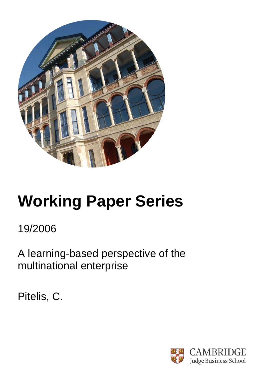

# **Working Paper Series**

19/2006

A learning-based perspective of the multinational enterprise

Pitelis, C.

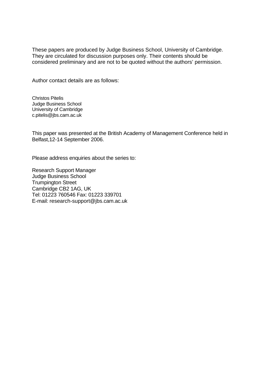These papers are produced by Judge Business School, University of Cambridge. They are circulated for discussion purposes only. Their contents should be considered preliminary and are not to be quoted without the authors' permission.

Author contact details are as follows:

Christos Pitelis Judge Business School University of Cambridge c.pitelis@jbs.cam.ac.uk

This paper was presented at the British Academy of Management Conference held in Belfast,12-14 September 2006.

Please address enquiries about the series to:

Research Support Manager Judge Business School Trumpington Street Cambridge CB2 1AG, UK Tel: 01223 760546 Fax: 01223 339701 E-mail: research-support@jbs.cam.ac.uk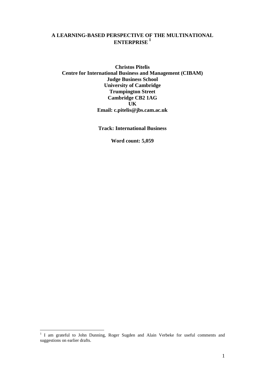# **A LEARNING-BASED PERSPECTIVE OF THE MULTINATIONAL ENTERPRISE 1**

**Christos Pitelis Centre for International Business and Management (CIBAM) Judge Business School University of Cambridge Trumpington Street Cambridge CB2 1AG UK Email: c.pitelis@jbs.cam.ac.uk** 

**Track: International Business** 

**Word count: 5,059** 

<sup>&</sup>lt;sup>1</sup> I am grateful to John Dunning, Roger Sugden and Alain Verbeke for useful comments and suggestions on earlier drafts.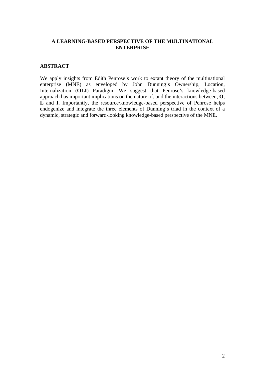## **A LEARNING-BASED PERSPECTIVE OF THE MULTINATIONAL ENTERPRISE**

## **ABSTRACT**

We apply insights from Edith Penrose's work to extant theory of the multinational enterprise (MNE) as enveloped by John Dunning's Ownership, Location, Internalization (**OLI**) Paradigm. We suggest that Penrose's knowledge-based approach has important implications on the nature of, and the interactions between, **O**, **L** and **I**. Importantly, the resource/knowledge-based perspective of Penrose helps endogenize and integrate the three elements of Dunning's triad in the context of a dynamic, strategic and forward-looking knowledge-based perspective of the MNE.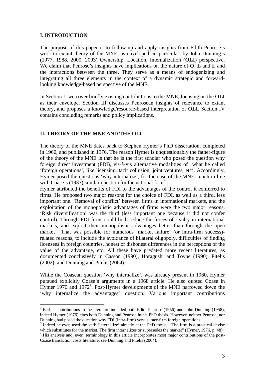## **I. INTRODUCTION**

1

The purpose of this paper is to follow-up and apply insights from Edith Penrose's work to extant theory of the MNE, as enveloped, in particular, by John Dunning's (1977, 1988, 2000, 2003) Ownership, Location, Internalization (**OLI**) perspective. We claim that Penrose's insights have implications on the nature of **O**, **L** and **I**, and the interactions between the three. They serve as a means of endogenizing and integrating all three elements in the context of a dynamic strategic and forwardlooking knowledge-based perspective of the MNE.

In Section II we cover briefly existing contributions to the MNE, focusing on the **OLI** as their envelope. Section III discusses Penrosean insights of relevance to extant theory, and proposes a knowledge/resource-based interpretation of **OLI**. Section IV contains concluding remarks and policy implications.

## **II. THEORY OF THE MNE AND THE OLI**

The theory of the MNE dates back to Stephen Hymer's PhD dissertation, completed in 1960, and published in 1976. The reason Hymer is unquestionably the father-figure of the theory of the MNE is that he is the first scholar who posed the question why foreign direct investment (FDI), vis-à-vis alternative modalities of what he called 'foreign operations', like licensing, tacit collusion, joint ventures, etc<sup>2</sup>. Accordingly, Hymer posed the questions 'why internalize', for the case of the MNE, much in line with Coase's (1937) similar question for the national firm<sup>3</sup>.

Hymer attributed the benefits of FDI to the advantages of the control it conferred to firms. He proposed two major reasons for the choice of FDI, as well as a third, less important one. 'Removal of conflict' between firms in international markets, and the exploitation of the monopolistic advantages of firms were the two major reasons. 'Risk diversification' was the third (less important one because it did not confer control). Through FDI firms could both reduce the forces of rivalry in international markets, and exploit their monopolistic advantages better than through the open market . That was possible for numerous 'market failure' (or intra-firm success) related reasons, to include the avoidance of bilateral oligopoly, difficulties of finding licensees in foreign countries, honest or dishonest differences in the perceptions of the value of the advantage, etc. All these have predated more recent literatures, as documented conclusively in Casson (1990), Horagushi and Toyne (1990), Pitelis (2002), and Dunning and Pitelis (2004).

While the Coasean question 'why internalize', was already present in 1960, Hymer pursued explicitly Coase's arguments in a 1968 article. He also quoted Coase in Hymer 1970 and 1972<sup>4</sup>. Post-Hymer developments of the MNE narrowed down the 'why internalize the advantages' question. Various important contributions

<sup>&</sup>lt;sup>2</sup> Earlier contributions to the literature included both Edith Penrose (1956) and John Dunning (1958), indeed Hymer (1976) cites both Dunning and Penrose in his PhD thesis. However, neither Penrose, nor Dunning had posed the question why FDI (intra-firm) versus inter-firm foreign operations.

<sup>&</sup>lt;sup>3</sup> Indeed he even used the verb 'internalize' already at the PhD thesis "The firm is a practical devise which substitutes for the market. The firm internalizes or supersedes the market" (Hymer, 1976, p. 48)

<sup>&</sup>lt;sup>4</sup> His analysis and, even, terminology in this article incorporates most major contributions of the post-Coase transaction costs literature, see Dunning and Pitelis (2004).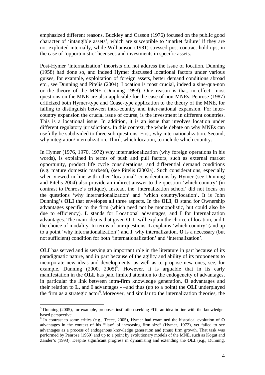emphasized different reasons. Buckley and Casson (1976) focused on the public good character of 'intangible assets', which are susceptible to 'market failure' if they are not exploited internally, while Williamson (1981) stressed post-contract hold-ups, in the case of 'opportunistic' licensees and investments in specific assets.

Post-Hymer 'internalization' theorists did not address the issue of location. Dunning (1958) had done so, and indeed Hymer discussed locational factors under various guises, for example, exploitation of foreign assets, better demand conditions abroad etc., see Dunning and Pitelis (2004). Location is most crucial, indeed a sine-qua-non or the theory of the MNE (Dunning 1998). One reason is that, in effect, most questions on the MNE are also applicable for the case of non-MNEs. Penrose (1987) criticized both Hymer-type and Coase-type application to the theory of the MNE, for failing to distinguish between intra-country and inter-national expansion. For intercountry expansion the crucial issue of course, is the investment in different countries. This is a locational issue. In addition, it is an issue that involves location under different regulatory jurisdictions. In this context, the whole debate on why MNEs can usefully be subdivided to three sub-questions. First, why internationalization. Second, why integration/internalization. Third, which location, to include which country.

In Hymer (1976, 1970, 1972) why internationalization (why foreign operations in his words), is explained in terms of push and pull factors, such as external market opportunity, product life cycle considerations, and differential demand conditions (e.g. mature domestic markets), (see Pitelis (2002a). Such considerations, especially when viewed in line with other 'locational' considerations by Hymer (see Dunning and Pitelis 2004) also provide an indirect answer to the question 'which country' (in contrast to Penrose's critique). Instead, the 'internalization school' did not focus on the questions 'why internationalization' and 'which country/location'. It is John Dunning's **OLI** that envelopes all three aspects. In the **OLI**, **O** stand for Ownership advantages specific to the firm (which need not be monopolistic, but could also be due to efficiency). **L** stands for Locational advantages, and **I** for Internalization advantages. The main idea is that given **O**, **L** will explain the choice of location, and **I** the choice of modality. In terms of our questions, **L** explains 'which country' (and up to a point 'why internationalization') and **I**, why internalization. **O** is a necessary (but not sufficient) condition for both 'internationalization' and 'internalization'.

**OLI** has served and is serving an important role in the literature in part because of its paradigmatic nature, and in part because of the agility and ability of its proponents to incorporate new ideas and developments, as well as to propose new ones, see, for example, Dunning  $(2000, 2005)^5$ . However, it is arguable that in its early manifestation in the **OLI**, has paid limited attention to the endogeneity of advantages, in particular the link between intra-firm knowledge generation, **O** advantages and their relation to **L**, and **I** advantages - –and thus (up to a point) the **OLI** underplayed the firm as a strategic actor<sup>6</sup>. Moreover, and similar to the internalization theories, the

1

<sup>&</sup>lt;sup>5</sup> Dunning (2005), for example, proposes institution-seeking FDI, an idea in line with the knowledgebased perspective.

<sup>6</sup> In contrast to some critics (e.g., Teece, 2005), Hymer had examined the historical evolution of **O** advantages in the context of his "'law' of increasing firm size" (Hymer, 1972), yet failed to see advantages as a process of endogenous knowledge generation and (thus) firm growth. That task was performed by Penrose (1959) and up to a point by evolutionary models of the MNE, such as Kogut and Zander's (1993). Despite significant progress in dynamising and extending the **OLI** (e.g., Dunning,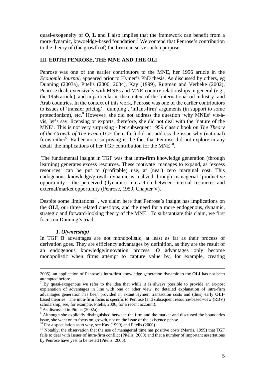quasi-exogeneity of **O**, **L** and **I** also implies that the framework can benefit from a more dynamic, knwoeldge-based foundation.<sup>7</sup> We contend that Penrose's contribution to the theory of (the growth of) the firm can serve such a purpose.

## **III. EDITH PENROSE, THE MNE AND THE OLI**

Penrose was one of the earlier contributors to the MNE, her 1956 article in the *Economic Journal*, appeared prior to Hymer's PhD thesis. As discussed by others, eg Dunning (2003a), Pitelis (2000, 2004), Kay (1999), Rugman and Verbeke (2002), Penrose dealt extensively with MNEs and MNE-country relationships in general (e.g., the 1956 article), and in particular in the context of the 'international oil industry' and Arab countries. In the context of this work, Penrose was one of the earlier contributors to issues of 'transfer pricing', 'dumping', 'infant-firm' arguments (in support to some protectionism), etc.<sup>8</sup> However, she did not address the question 'why MNEs' vis-àvis, let's say, licensing or exports, therefore, she did not deal with the 'nature of the MNE'. This is not very surprising - her subsequent 1959 classic book on *The Theory of the Growth of The Firm* (TGF thereafter) did not address the issue why (national) firms either<sup>9</sup>. Rather more surprising is the fact that Penrose did not explore in any detail the implications of her TGF contribution for the MNE<sup>10</sup>.

 The fundamental insight in TGF was that intra-firm knowledge generation (through learning) generates excess resources. These motivate manages to expand, as 'excess resources' can be put to (profitable) use, at (near) zero marginal cost. This endogenous knowledge/growth dynamic is realized through managerial 'productive opportunity' –the perceived (dynamic) interaction between internal resources and external/market opportunity (Penrose, 1959, Chapter V).

Despite some limitations<sup>11</sup>, we claim here that Penrose's insight has implications on the **OLI**, our three related questions, and the need for a more endogenous, dynamic, strategic and forward-looking theory of the MNE. To substantiate this claim, we first focus on Dunning's triad.

#### *1. O(wnership)*

In TGF **O** advantages are not monopolistic, at least as far as their process of derivation goes. They are efficiency advantages by definition, as they are the result of an endogenous knowledge/innovation process. **O** advantages only become monopolistic when firms attempt to capture value by, for example, creating

 <sup>2005),</sup> an application of Penrose's intra-firm knowledge generation dynamic to the **OLI** has not been attempted before.

<sup>&</sup>lt;sup>7</sup> By quasi-exogenous we refer to the idea that while it is always possible to provide an ex-post explanation of advantages in line with one or other view, no detailed explanation of intra-firm advantages generation has been provided in extant Hymer, transaction costs and (thus) early **OLI**based theories. The intra-firm focus is specific to Penrose (and subsequent resource-based-view (RBV) scholarship, see, for example, Pitelis, 2006, for a recent account).

<sup>&</sup>lt;sup>8</sup> As discussed in Pitelis (2002a).

<sup>&</sup>lt;sup>9</sup> Although she explicitly distinguished between the firm and the market and discussed the boundaries issue, she went on to focus on growth, not on the issue of the existence per-se.  $^{10}$  For a speculation as to why, see Kay (1999) and Pitelis (2000)

<sup>&</sup>lt;sup>11</sup> Notably, the observation that the use of managerial time has positive costs (Marris, 1999) that TGF fails to deal with issues of intra-firm conflict (Pitelis, 2000) and that a number of important assertations by Penrose have yest to be tested (Pitelis, 2006).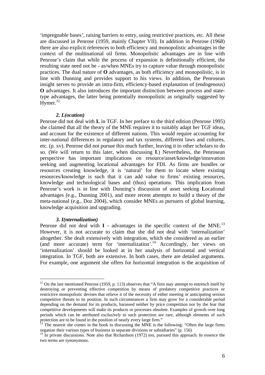'impregnable bases', raising barriers to entry, using restrictive practices, etc. All these are discussed in Penrose (1959, mainly Chapter VII). In addition in Penrose (1968) there are also explicit references to both efficiency and monopolistic advantages in the context of the multinational oil firms. Monopolistic advantages are in line with Penrose's claim that while the process of expansion is definitionally efficient, the resulting state need not be - as/when MNEs try to capture value through monopolistic practices. The dual nature of **O** advantages, as both efficiency and monopolistic, is in line with Dunning and provides support to his views. In addition, the Penrosean insight serves to provide an intra-firm, efficiency-based explanation of (endogenous) **O** advantages. It also introduces the important distinction between process and statetype advantages, the latter being potentially monopolistic as originally suggested by Hymer.<sup>12</sup>

#### *2. L(ocation)*

Penrose did not deal with **L** in TGF. In her preface to the third edition (Penrose 1995) she claimed that all the theory of the MNE requires it to suitably adapt her TGF ideas, and account for the existence of different nations. This would require accounting for inter-national differences in regulatory and tax systems, different laws and cultures, etc. (p. xv). Penrose did not pursue this much further, leaving it to other scholars to do so. (We will return to this later, when discussing **I**.) Nevertheless, the Penrosean perspective has important implications on resource/asset/knowledge/innovation seeking and augmenting locational advantages for FDI. As firms are bundles or resources creating knowledge, it is 'natural' for them to locate where existing resources/knowledge is such that it can add value to firms' existing resources, knowledge and technological bases and (thus) operations. This implication from Penrose's work is in line with Dunning's discussion of asset seeking **L**ocational advantages (e.g., Dunning 2001), and more recent attempts to build a theory of the meta-national (e.g., Doz 2004), which consider MNEs as pursuers of global learning, knowledge acquisition and upgrading.

#### *3. I(nternalization)*

1

Penrose did not deal with  $I$  - advantages in the specific context of the MNE.<sup>13</sup> However, it is not accurate to claim that she did not deal with 'internalization' altogether. She dealt extensively with integration, which she considered as an earlier (and more accurate) term for 'internalization'.<sup>14</sup> Accordingly, her views on 'internalization' should be looked at in her analysis of horizontal and vertical integration. In TGF, both are extensive. In both cases, there are detailed arguments. For example, one argument she offers for horizontal integration is the acquisition of

 $12$  On the last mentioned Penrose (1959, p. 113) observes that "A firm may attempt to entrench itself by destroying or preventing effective competition by means of predatory competitive practices or restrictive monopolistic devises that relieve it of the necessity of either meeting or anticipating serious competitive threats to its position. In such circumstances a firm may grow for a considerable period depending on the demand for its products, harassed neither by price competition nor by the fear that competitive developments will make its products or processes obsolete. Examples of growth over long periods which can be attributed *exclusively* to such protection are rare, although elements of such protection are to be found in the position of nearly every large firm."

 $13$  The nearest she comes in the book to discussing the MNE is the following: "Often the large firms organize their various types of business in separate divisions or subsidiaries" (p. 156)

<sup>&</sup>lt;sup>14</sup> In private discussions. Note also that Richardson (1972) too, pursued this approach. In essence the two terms are synonymous.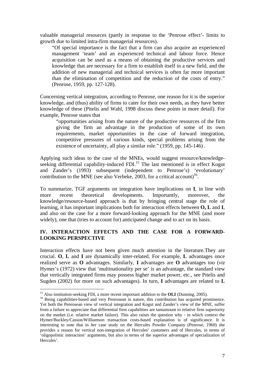valuable managerial resources (partly in response to the 'Penrose effect'- limits to growth due to limited intra-firm managerial resources).

"Of special importance is the fact that a firm can also acquire an experienced management 'team' and an experienced technical and labour force. Hence acquisition can be used as a means of obtaining the productive services and knowledge that are necessary for a firm to establish itself in a new field, and the addition of new managerial and technical services is often far more important than the elimination of competition and the reduction of the costs of entry." (Penrose, 1959, pp. 127-128).

Concerning vertical integration, according to Penrose, one reason for it is the superior knowledge, and (thus) ability of firms to cater for their own needs, as they have better knowledge of these (Pitelis and Wahl, 1998 discuss these points in more detail). For example, Penrose states that

"opportunities arising from the nature of the productive resources of the firm giving the firm an advantage in the production of some of its own requirements, market opportunities in the case of forward integration, competitive pressures of various kinds, special problems arising from the existence of uncertainty, all play a similar role." (1959, pp. 145-146) .

Applying such ideas to the case of the MNEs, would suggest resource/knowledgeseeking differential capability-induced FDI.<sup>15</sup> The last mentioned is in effect Kogut and Zander's (1993) subsequent (independent to Penrose's) 'evolutionary' contribution to the MNE (see also Verbeke, 2003, for a critical account)<sup>16</sup>.

To summarize, TGF arguments on integration have implications on **I**, in line with more recent theoretical developments. Importantly, moreover, the knowledge/resource-based approach is that by bringing central stage the role of learning, it has important implications both for interaction effects between **O, L** and **I**, and also on the case for a more forward-looking approach for the MNE (and more widely), one that (tries to account for) anticipated change and to act on its basis.

## **IV. INTERACTION EFFECTS AND THE CASE FOR A FORWARD-LOOKING PERSPECTIVE**

Interaction effects have not been given much attention in the literature.They are crucial. **O**, **L** and **I** are dynamically inter-related. For example, **L** advantages once realized serve as **O** advantages. Similarly, **I** advantages are **O** advantages too (*viz* Hymer's (1972) view that 'multinationality per se' is an advantage, the standard view that vertically integrated firms may possess higher market power, etc., see Pitelis and Sugden (2002) for more on such advantages). In turn, **I** advantages are related to **L**

1

<sup>&</sup>lt;sup>15</sup> Also institution-seeking FDI, a more recent important addition to the **OLI** (Dunning, 2005).<br><sup>16</sup> Being capabilities-based and very Penrosean in nature, this contribution has acquired prominence.

Yet both the Penrosean view of vertical integration and Kogut and Zander's view of the MNE, suffer from a failure to appreciate that differential firm capabilities are tantamount to relative firm superiority on the market (i.e. relative market failure). This also raises the question why - in which context the Hymer/Buckley/Casson/Williamson transaction costs-based explanation is of significance. It is interesting to note that in her case study on the Hercules Powder Company (Penrose, 1960) she provides a reason for vertical non-integration of Hercules' customers and of Hercules, in terms of 'oligopolistic interaction' arguments, but also in terms of the superior advantages of specialization of Hercules'.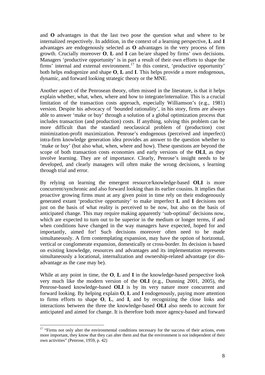and **O** advantages in that the last two pose the question what and where to be internalized respectively. In addition, in the context of a learning perspective, **L** and **I** advantages are endogenously selected as **O** advantages in the very process of firm growth. Crucially moreover **O**, **L** and **I** can be/are shaped by firms' own decisions. Managers 'productive opportunity' is in part a result of their own efforts to shape the firms' internal and external environment.17 In this context, 'productive opportunity' both helps endogenize and shape **O**, **L** and **I**. This helps provide a more endogenous, dynamic, and forward looking strategic theory or the MNE.

Another aspect of the Penrosean theory, often missed in the literature, is that it helps explain whether, what, when, where and how to integrate/internalize. This is a crucial limitation of the transaction costs approach, especially Williamson's (e.g., 1981) version. Despite his advocacy of 'bounded rationality', in his story, firms are always able to answer 'make or buy' through a solution of a global optimization process that includes transaction (and production) costs. If anything, solving this problem can be more difficult than the standard neoclassical problem of (production) cost minimization-profit maximization. Penrose's endogenous (perceived and imperfect) intra-firm knowledge generation idea provides an answer to the question whether to 'make or buy' (but also what, when, where and how). These questions are beyond the scope of both transaction costs economies and early versions of the **OLI**, as they involve learning. They are of importance. Clearly, Penrose's insight needs to be developed, and clearly managers will often make the wrong decisions, s learning through trial and error.

By relying on learning the emergent resource/knowledge-based **OLI** is more concurrent/synchronic and also forward looking than its earlier cousins. It implies that proactive growing firms must at any given point in time rely on their endogenously generated extant 'productive opportunity' to make imperfect **L** and **I** decisions not just on the basis of what reality is perceived to be now, but also on the basis of anticipated change. This may require making apparently 'sub-optimal' decisions now, which are expected to turn out to be superior in the medium or longer terms, if and when conditions have changed in the way managers have expected, hoped for and importantly, aimed for! Such decisions moreover often need to be made simultaneously. A firm contemplating expansion, may have the option of horizontal, vertical or conglomerate expansion, domestically or cross-border. Its decision is based on existing knowledge, resources and advantages and its implementation represents simultaneously a locational, internalization and ownership-related advantage (or disadvantage as the case may be).

While at any point in time, the **O**, **L** and **I** in the knowledge-based perspective look very much like the modern version of the **OLI** (e.g., Dunning 2001, 2005), the Penrose-based knowledge-based **OLI** is by its very nature more concurrent and forward looking. By helping explain **O**, **L** and **I** endogenously, paying more attention to firms efforts to shape **O**, **L**, and **I**, and by recognizing the close links and interactions between the three the knowledge-based **OLI** also needs to account for anticipated and aimed for change. It is therefore both more agency-based and forward

1

<sup>&</sup>lt;sup>17</sup> "Firms not only alter the environmental conditions necessary for the success of their actions, even more important, they know that they can alter them and that the environment is not independent of their own activities" (Penrose, 1959, p. 42)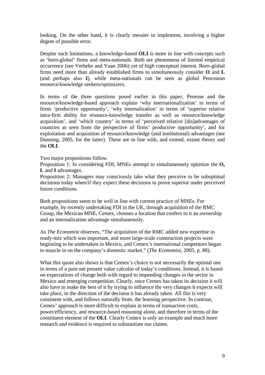looking. On the other hand, it is clearly messier to implement, involving a higher degree of possible error.

Despite such limitations, a knowledge-based **OLI** is more in line with concepts such as 'born-global' firms and meta-nationals. Both are phenomena of limited empirical occurrence (see Verbeke and Yuan 2006) yet of high conceptual interest. Born-global firms need more than already established firms to simultaneously consider **O** and **L** (and perhaps also **I**), while meta-nationals can be seen as global Penrosean resource/knowledge seekers/optimizers.

In terms of the three questions posed earlier in this paper, Penrose and the resource/knowledge-based approach explain 'why internationalization' in terms of firms 'productive opportunity', 'why internalization' in terms of 'superior relative intra-firm ability for resource-knowledge transfer as well as resource/knowledge acquisition', and 'which country' in terms of 'perceived relative [dis]advantages of countries as seen from the perspective of firms' productive opportunity', and for exploitation and acquisition of resource/knowledge (and institutional) advantages (see Dunning, 2005, for the latter). These are in line with, and extend, extant theory and the **OLI**.

Two major propositions follow.

Proposition 1: In considering FDI, MNEs attempt to simultaneously optimize the **O, L** and **I** advantages.

Proposition 2: Managers may consciously take what they perceive to be suboptimal decisions today when/if they expect these decisions to prove superior under perceived future conditions.

Both propositions seem to be well in line with current practice of MNEs. For example, by recently undertaking FDI in the UK, through acquisition of the RMC Group, the Mexican MNE, Cemex, chooses a location that confers to it an ownership and an internalization advantage simultaneously.

As *The Economist* observes, "The acquisition of the RMC added new expertise in ready-mix which was important, and more large-scale construction projects were beginning to be undertaken in Mexico, and Cemex's international competitors began to muscle in on the company's domestic market." (*The Economist*, 2005, p. 88).

What this quote also shows is that Cemex's choice is not necessarily the optimal one in terms of a pure net present value calculus of today's conditions. Instead, it is based on expectations of change both with regard to impending changes in the sector in Mexico and emerging competition. Clearly, once Cemex has taken its decision it will also have to make the best of it by trying to influence the very changes it expects will take place, in the direction of the decision it has already taken. All this is very consistent with, and follows naturally from, the learning perspective. In contrast, Cemex' approach is more difficult to explain in terms of transaction costs, power/efficiency, and resource-based reasoning alone, and therefore in terms of the constituent element of the **OLI**. Clearly Cemex is only an example and much more research and evidence is required to substantiate our claims.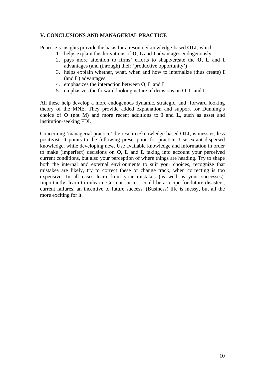# **V. CONCLUSIONS AND MANAGERIAL PRACTICE**

Penrose's insights provide the basis for a resource/knowledge-based **OLI**, which

- 1. helps explain the derivations of **O**, **L** and **I** advantages endogenously
- 2. pays more attention to firms' efforts to shape/create the **O**, **L** and **I** advantages (and (through) their 'productive opportunity')
- 3. helps explain whether, what, when and how to internalize (thus create) **I** (and **L**) advantages
- 4. emphasizes the interaction between **O**, **L** and **I**
- 5. emphasizes the forward looking nature of decisions on **O**, **L** and **I**

All these help develop a more endogenous dynamic, strategic, and forward looking theory of the MNE. They provide added explanation and support for Dunning's choice of **O** (not M) and more recent additions to **I** and **L**, such as asset and institution-seeking FDI.

Concerning 'managerial practice' the resource/knowledge-based **OLI**, is messier, less positivist. It points to the following prescription for practice. Use extant dispersed knowledge, while developing new. Use available knowledge and information in order to make (imperfect) decisions on **O**, **L** and **I**, taking into account your perceived current conditions, but also your perception of where things are heading. Try to shape both the internal and external environments to suit your choices, recognize that mistakes are likely, try to correct these or change track, when correcting is too expensive. In all cases learn from your mistakes (as well as your successes). Importantly, learn to unlearn. Current success could be a recipe for future disasters, current failures, an incentive to future success. (Business) life is messy, but all the more exciting for it.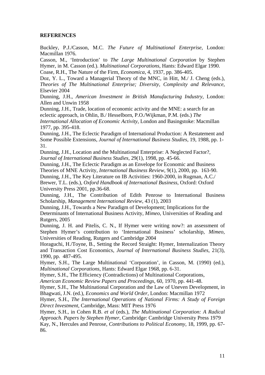## **REFERENCES**

Buckley, P.J./Casson, M.C. *The Future of Multinational Enterprise*, London: Macmillan 1976.

Casson, M., 'Introduction' to *The Large Multinational Corporation* by Stephen Hymer, in M. Casson (ed.). *Multinational Corporations*, Hants: Edward Elgar 1990. Coase, R.H., The Nature of the Firm, *Economica*, 4, 1937, pp. 386-405.

Doz, Y. L., Toward a Managerial Theory of the MNC, in Hitt, M./ J. Cheng (eds.), *Theories of The Multinational Enterprise; Diversity, Complexity and Relevance*, Elsevier 2004

Dunning, J.H., *American Investment in British Manufacturing Industry*, London: Allen and Unwin 1958

Dunning, J.H., Trade, location of economic activity and the MNE: a search for an eclectic approach, in Ohlin, B./ Hesselborn, P.O./Wijkman, P.M. (eds.) *The International Allocation of Economic Activity*, London and Basingstoke: Macmillan 1977, pp. 395-418.

Dunning, J.H., The Eclectic Paradigm of International Production: A Restatement and Some Possible Extensions, *Journal of International Business Studies*, 19, 1988, pp. 1- 31.

Dunning, J.H., Location and the Multinational Enterprise: A Neglected Factor?, *Journal of International Business Studies,* 29(1), 1998, pp. 45-66.

Dunning, J.H., The Eclectic Paradigm as an Envelope for Economic and Business Theories of MNE Activity, *International Business Review*, 9(1), 2000, pp. 163-90. Dunning, J.H., The Key Literature on IB Activities: 1960-2000, in Rugman, A.C./ Brewer, T.L. (eds.), *Oxford Handbook of International Business,* Oxford: Oxford University Press 2001, pp.36-68.

Dunning, J.H., The Contribution of Edith Penrose to International Business Scholarship, *Management International Review*, 43 (1), 2003

Dunning, J.H., Towards a New Paradigm of Development; Implications for the Determinants of International Business Activity, *Mimeo*, Universities of Reading and Rutgers, 2005

Dunning, J. H. and Pitelis, C. N., If Hymer were writing now?: an assessment of Stephen Hymer's contribution to 'International Business' scholarship, *Mimeo*, Universities of Reading, Rutgers and Cambridge 2004

Horaguchi, H./Toyne, B., Setting the Record Straight: Hymer, Internalization Theory and Transaction Cost Economics, *Journal of International Business Studies*, 21(3), 1990, pp. 487-495.

Hymer, S.H., The Large Multinational 'Corporation', in Casson, M. (1990) (ed.), *Multinational Corporations*, Hants: Edward Elgar 1968, pp. 6-31.

Hymer, S.H., The Efficiency (Contradictions) of Multinational Corporations,

*American Economic Review Papers and Proceedings*, 60, 1970, pp. 441-48.

Hymer, S.H., The Multinational Corporation and the Law of Uneven Development, in Bhagwati, J.N. (ed.), *Economics and World Order*, London: Macmillan 1972

Hymer, S.H., *The International Operations of National Firms: A Study of Foreign Direct Investment*, Cambridge, Mass: MIT Press 1976

Hymer, S.H., in Cohen R.B. *et al* (eds.), *The Multinational Corporation: A Radical Approach. Papers by Stephen Hymer*, Cambridge: Cambridge University Press 1979

Kay, N., Hercules and Penrose, *Contributions to Political Economy,* 18, 1999, pp. 67- 86.